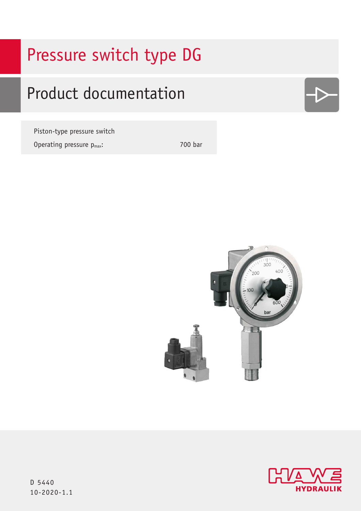# Pressure switch type DG

# Product documentation

Piston-type pressure switch Operating pressure  $p_{max}$ : 700 bar







D 5440 10-2020-1.1 10-2020-1.1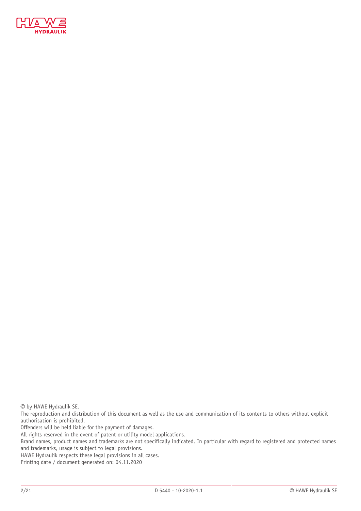

© by HAWE Hydraulik SE.

The reproduction and distribution of this document as well as the use and communication of its contents to others without explicit authorisation is prohibited.

Offenders will be held liable for the payment of damages.

All rights reserved in the event of patent or utility model applications.

Brand names, product names and trademarks are not specifically indicated. In particular with regard to registered and protected names and trademarks, usage is subject to legal provisions.

HAWE Hydraulik respects these legal provisions in all cases.

Printing date / document generated on: 04.11.2020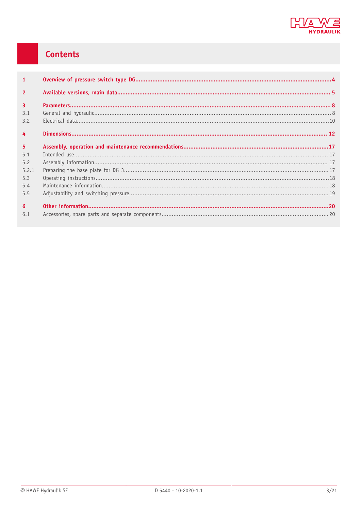

# Contents

| $\mathbf{1}$   |  |
|----------------|--|
| $\overline{2}$ |  |
| $\overline{3}$ |  |
| 3.1            |  |
| 3.2            |  |
| $\overline{4}$ |  |
| 5 <sup>5</sup> |  |
| 5.1            |  |
| 5.2            |  |
| 5.2.1          |  |
| 5.3            |  |
| 5.4            |  |
| 5.5            |  |
| 6 <sup>1</sup> |  |
| 6.1            |  |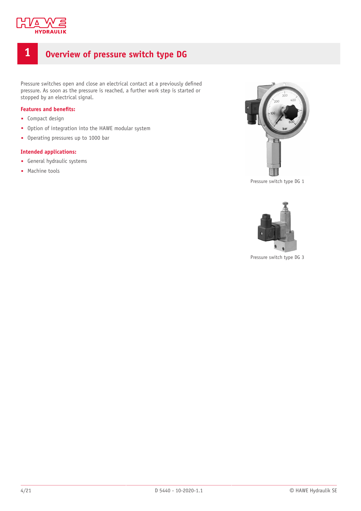

# <span id="page-3-0"></span>**1 Overview of pressure switch type DG**

Pressure switches open and close an electrical contact at a previously defined pressure. As soon as the pressure is reached, a further work step is started or stopped by an electrical signal.

#### **Features** and **benefits:**

- Compact design
- Option of integration into the HAWE modular system
- Operating pressures up to 1000 bar

#### **Intended applications:**

- General hydraulic systems
- Machine tools



Pressure switch type DG 1



Pressure switch type DG 3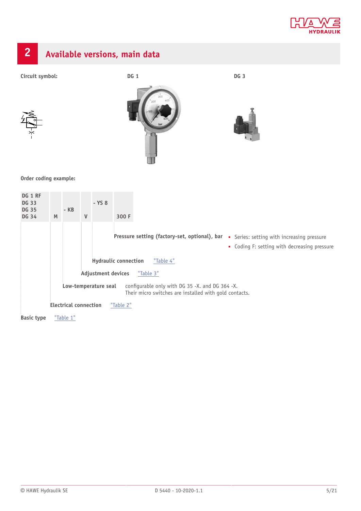

<span id="page-4-0"></span>

**Basic type** ["Table](#page-5-2) 1"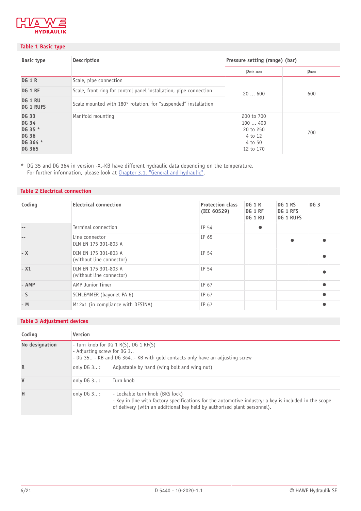

#### <span id="page-5-2"></span>**Table 1 Basic type**

| <b>Basic type</b>                                                                    | <b>Description</b>                                                | Pressure setting (range) (bar)                                       |                  |  |
|--------------------------------------------------------------------------------------|-------------------------------------------------------------------|----------------------------------------------------------------------|------------------|--|
|                                                                                      |                                                                   | $p_{\text{min-max}}$                                                 | $p_{\text{max}}$ |  |
| <b>DG 1 R</b>                                                                        | Scale, pipe connection                                            |                                                                      |                  |  |
| DG 1 RF                                                                              | Scale, front ring for control panel installation, pipe connection | 20600                                                                | 600              |  |
| DG 1 RU<br><b>DG 1 RUFS</b>                                                          | Scale mounted with 180° rotation, for "suspended" installation    |                                                                      |                  |  |
| <b>DG 33</b><br><b>DG 34</b><br>DG 35 *<br><b>DG 36</b><br>DG 364 *<br><b>DG 365</b> | Manifold mounting                                                 | 200 to 700<br>100400<br>20 to 250<br>4 to 12<br>4 to 50<br>12 to 170 | 700              |  |

**\*** DG 35 and DG 364 in version -X.-KB have different hydraulic data depending on the temperature. For further information, please look at <u>[Chapter 3.1,](#page-7-1) "General and hydraulic"</u>.

#### <span id="page-5-1"></span>**Table 2 Electrical connection**

| Coding | <b>Electrical connection</b>                     | <b>Protection class</b><br>(IEC 60529) | <b>DG 1 R</b><br>DG 1 RF<br>DG 1 RU | DG 1 RS<br>DG 1 RFS<br><b>DG 1 RUFS</b> | <b>DG 3</b> |
|--------|--------------------------------------------------|----------------------------------------|-------------------------------------|-----------------------------------------|-------------|
|        | Terminal connection                              | IP 54                                  | $\bullet$                           |                                         |             |
|        | Line connector<br>DIN EN 175 301-803 A           | IP 65                                  |                                     |                                         |             |
| $- X$  | DIN EN 175 301-803 A<br>(without line connector) | IP 54                                  |                                     |                                         |             |
| $- X1$ | DIN EN 175 301-803 A<br>(without line connector) | IP 54                                  |                                     |                                         |             |
| - AMP  | AMP Junior Timer                                 | IP 67                                  |                                     |                                         |             |
| $-S$   | SCHLEMMER (bayonet PA 6)                         | IP 67                                  |                                     |                                         |             |
| $-M$   | M12x1 (in compliance with DESINA)                | IP 67                                  |                                     |                                         |             |

#### <span id="page-5-0"></span>**Table 3 Adjustment devices**

| Coding         | <b>Version</b>                                                                                                                                          |                                                                                                                                                                                                                      |  |
|----------------|---------------------------------------------------------------------------------------------------------------------------------------------------------|----------------------------------------------------------------------------------------------------------------------------------------------------------------------------------------------------------------------|--|
| No designation | - Turn knob for DG $1 R(S)$ , DG $1 RF(S)$<br>- Adjusting screw for DG 3<br>- DG 35 - KB and DG 364- KB with gold contacts only have an adjusting screw |                                                                                                                                                                                                                      |  |
| $\mathbb{R}$   | only DG $3:$                                                                                                                                            | Adjustable by hand (wing bolt and wing nut)                                                                                                                                                                          |  |
| $\mathsf{V}$   | only $DG_3$ :                                                                                                                                           | Turn knob                                                                                                                                                                                                            |  |
| H              | only $DG_3$ :                                                                                                                                           | - Lockable turn knob (BKS lock)<br>- Key in line with factory specifications for the automotive industry; a key is included in the scope<br>of delivery (with an additional key held by authorised plant personnel). |  |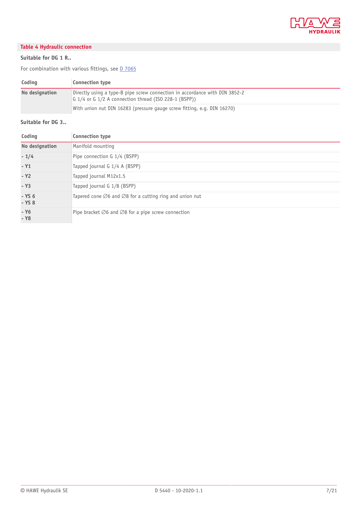

#### <span id="page-6-0"></span>**Table 4 Hydraulic connection**

#### **Suitable for DG 1 R..**

For combination with various fittings, see  $D$  7065

| Coding         | <b>Connection type</b>                                                                                                                   |
|----------------|------------------------------------------------------------------------------------------------------------------------------------------|
| No designation | Directly using a type-B pipe screw connection in accordance with DIN 3852-2<br>G $1/4$ or G $1/2$ A connection thread (ISO 228-1 (BSPP)) |
|                | With union nut DIN 16283 (pressure gauge screw fitting, e.g. DIN 16270)                                                                  |

#### **Suitable for DG 3..**

| Coding               | Connection type                                                               |
|----------------------|-------------------------------------------------------------------------------|
| No designation       | Manifold mounting                                                             |
| $-1/4$               | Pipe connection G 1/4 (BSPP)                                                  |
| $- Y1$               | Tapped journal G 1/4 A (BSPP)                                                 |
| $- Y2$               | Tapped journal M12x1.5                                                        |
| $- Y3$               | Tapped journal G 1/8 (BSPP)                                                   |
| $-$ YS 6<br>$-$ YS 8 | Tapered cone $\emptyset$ 6 and $\emptyset$ 8 for a cutting ring and union nut |
| $- Y6$<br>- Y8       | Pipe bracket $\emptyset$ 6 and $\emptyset$ 8 for a pipe screw connection      |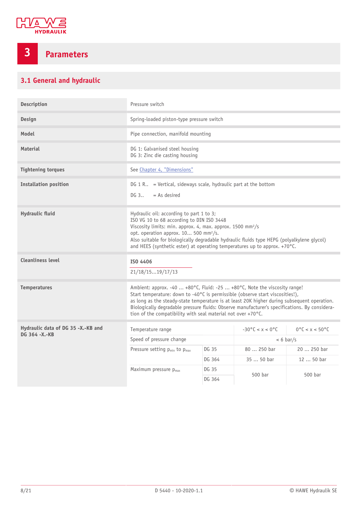

# <span id="page-7-0"></span>**3 Parameters**

### <span id="page-7-1"></span>**3.1 General and hydraulic**

| Description                        | Pressure switch                                                                                                                                                                                                                                                                                                                                                                                                            |        |                           |                                    |
|------------------------------------|----------------------------------------------------------------------------------------------------------------------------------------------------------------------------------------------------------------------------------------------------------------------------------------------------------------------------------------------------------------------------------------------------------------------------|--------|---------------------------|------------------------------------|
| Design                             | Spring-loaded piston-type pressure switch                                                                                                                                                                                                                                                                                                                                                                                  |        |                           |                                    |
| Model                              | Pipe connection, manifold mounting                                                                                                                                                                                                                                                                                                                                                                                         |        |                           |                                    |
| <b>Material</b>                    | DG 1: Galvanised steel housing<br>DG 3: Zinc die casting housing                                                                                                                                                                                                                                                                                                                                                           |        |                           |                                    |
| <b>Tightening torques</b>          | See Chapter 4, "Dimensions"                                                                                                                                                                                                                                                                                                                                                                                                |        |                           |                                    |
| <b>Installation position</b>       | $DG 1 R.$ = Vertical, sideways scale, hydraulic part at the bottom<br>DG 3<br>$= As desired$                                                                                                                                                                                                                                                                                                                               |        |                           |                                    |
| <b>Hydraulic fluid</b>             | Hydraulic oil: according to part 1 to 3;<br>ISO VG 10 to 68 according to DIN ISO 3448<br>Viscosity limits: min. approx. 4, max. approx. 1500 mm <sup>2</sup> /s<br>opt. operation approx. 10 500 mm <sup>2</sup> /s.<br>Also suitable for biologically degradable hydraulic fluids type HEPG (polyalkylene glycol)<br>and HEES (synthetic ester) at operating temperatures up to approx. +70°C.                            |        |                           |                                    |
| <b>Cleanliness level</b>           | ISO 4406<br>21/18/1519/17/13                                                                                                                                                                                                                                                                                                                                                                                               |        |                           |                                    |
|                                    |                                                                                                                                                                                                                                                                                                                                                                                                                            |        |                           |                                    |
| <b>Temperatures</b>                | Ambient: approx. -40  +80°C, Fluid: -25  +80°C, Note the viscosity range!<br>Start temperature: down to -40°C is permissible (observe start viscosities!),<br>as long as the steady-state temperature is at least 20K higher during subsequent operation.<br>Biologically degradable pressure fluids: Observe manufacturer's specifications. By considera-<br>tion of the compatibility with seal material not over +70°C. |        |                           |                                    |
| Hydraulic data of DG 35 -X.-KB and | Temperature range                                                                                                                                                                                                                                                                                                                                                                                                          |        | $-30^{\circ}$ C < x < 0°C | $0^{\circ}$ C < x < $50^{\circ}$ C |
| DG 364 -X -KB                      | Speed of pressure change                                                                                                                                                                                                                                                                                                                                                                                                   |        |                           | $< 6 \text{ bar/s}$                |
|                                    | Pressure setting p <sub>min</sub> to p <sub>max</sub>                                                                                                                                                                                                                                                                                                                                                                      | DG 35  | 80  250 bar               | 20  250 bar                        |
|                                    |                                                                                                                                                                                                                                                                                                                                                                                                                            | DG 364 | 35  50 bar                | 12  50 bar                         |
|                                    | Maximum pressure p <sub>max</sub>                                                                                                                                                                                                                                                                                                                                                                                          | DG 35  | 500 bar<br>500 bar        |                                    |
|                                    |                                                                                                                                                                                                                                                                                                                                                                                                                            | DG 364 |                           |                                    |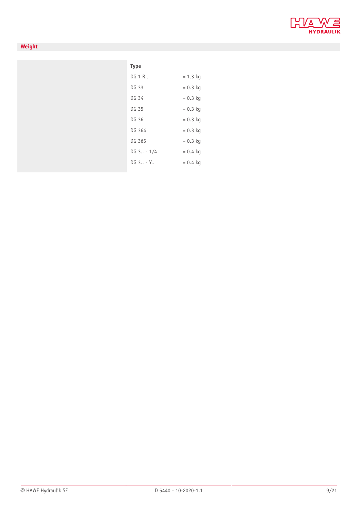

#### **Weight**

| <b>Type</b>     |            |
|-----------------|------------|
| DG 1 R          | $= 1.3$ kg |
| DG 33           | $= 0.3$ kg |
| DG 34           | $= 0.3$ kg |
| DG 35           | $= 0.3$ kg |
| DG 36           | $= 0.3$ kg |
| DG 364          | $= 0.3$ kg |
| DG 365          | $= 0.3$ kg |
| $DG \, 3 - 1/4$ | $= 0.4$ kg |
| $DG_{3} - Y$    | $= 0.4$ kg |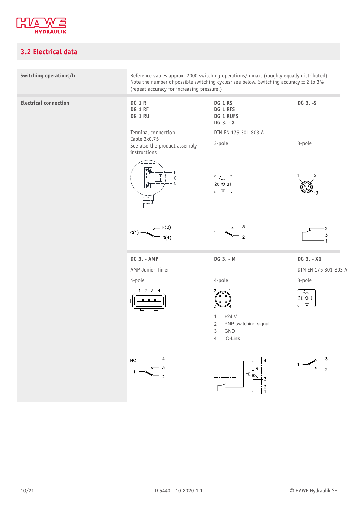

### <span id="page-9-0"></span>**3.2 Electrical data**

| Switching operations/h       | Reference values approx. 2000 switching operations/h max. (roughly equally distributed).<br>Note the number of possible switching cycles; see below. Switching accuracy $\pm$ 2 to 3%<br>(repeat accuracy for increasing pressure!) |                                                                                                                  |                                          |
|------------------------------|-------------------------------------------------------------------------------------------------------------------------------------------------------------------------------------------------------------------------------------|------------------------------------------------------------------------------------------------------------------|------------------------------------------|
| <b>Electrical connection</b> | <b>DG 1 R</b><br>DG 1 RF<br>DG 1 RU                                                                                                                                                                                                 | DG 1 RS<br>DG 1 RFS<br><b>DG 1 RUFS</b><br>DG 3. - X                                                             | DG 3.-S                                  |
|                              | Terminal connection<br>Cable 3x0.75<br>See also the product assembly<br>instructions                                                                                                                                                | DIN EN 175 301-803 A<br>3-pole                                                                                   | 3-pole                                   |
|                              | 昍                                                                                                                                                                                                                                   | $\overline{3}_{\overline{m}}$<br>20001<br>$\mp$                                                                  | 2<br>3                                   |
|                              | C(1)<br>O(4)                                                                                                                                                                                                                        | $\mathbf{3}$<br>$\overline{2}$                                                                                   | 2<br>$\overline{3}$                      |
|                              | <b>DG 3. - AMP</b>                                                                                                                                                                                                                  | DG 3. - M                                                                                                        | DG 3. - X1                               |
|                              | AMP Junior Timer                                                                                                                                                                                                                    |                                                                                                                  | DIN EN 175 301-803 A                     |
|                              | 4-pole                                                                                                                                                                                                                              | 4-pole                                                                                                           | 3-pole                                   |
|                              | $1 \t2 \t3 \t4$<br>8886<br>П                                                                                                                                                                                                        | 2<br>3                                                                                                           | $3\sigma$<br>26 0 11<br>$\overline{\mp}$ |
|                              |                                                                                                                                                                                                                                     | $+24V$<br>$\mathbf{1}$<br>$\overline{2}$<br>PNP switching signal<br><b>GND</b><br>3<br>IO-Link<br>$\overline{4}$ |                                          |
|                              | $NC$ —                                                                                                                                                                                                                              | $Y \to \begin{matrix} 1 & 1 \\ 1 & 1 \\ 1 & 1 \\ 1 & 1 \end{matrix}$                                             |                                          |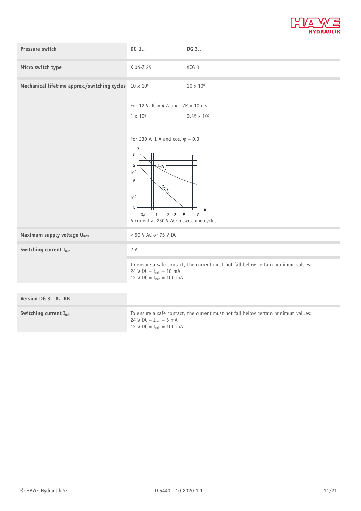

| Pressure switch                                               | DG 1                                                                                                                                                                                                                        | DG 3                                                                              |
|---------------------------------------------------------------|-----------------------------------------------------------------------------------------------------------------------------------------------------------------------------------------------------------------------------|-----------------------------------------------------------------------------------|
| Micro switch type                                             | X 04-Z 25                                                                                                                                                                                                                   | XCG 3                                                                             |
| Mechanical lifetime approx./switching cycles $10 \times 10^6$ |                                                                                                                                                                                                                             | $10\times10^6$                                                                    |
|                                                               | For 12 V DC = 4 A and $L/R = 10$ ms                                                                                                                                                                                         |                                                                                   |
|                                                               | $1 \times 10^6$                                                                                                                                                                                                             | $0.35 \times 10^{6}$                                                              |
|                                                               | For 230 V, 1 A and cos. $\varphi = 0.3$<br>$\sf n$<br>$5 -$<br>$2 -$<br>$\mathcal{L}_{G_{\mathcal{I}}}$<br>$10^{6}$<br>$5 -$<br>$\frac{Q_{\rm Q}}{Q}$<br>$10^{5}$<br>5 <sup>1</sup><br>$2 \quad 3$<br>0,5<br>$\overline{1}$ | $\overline{A}$<br>щ<br>5<br>10                                                    |
|                                                               | A current at 230 V AC; n switching cycles                                                                                                                                                                                   |                                                                                   |
| Maximum supply voltage U <sub>max</sub>                       | < 50 V AC or 75 V DC                                                                                                                                                                                                        |                                                                                   |
| Switching current I <sub>min</sub>                            | 2 A                                                                                                                                                                                                                         |                                                                                   |
|                                                               | 24 V $DC = I_{min} = 10$ mA<br>12 V DC = $I_{min}$ = 100 mA                                                                                                                                                                 | To ensure a safe contact, the current must not fall below certain minimum values: |
|                                                               |                                                                                                                                                                                                                             |                                                                                   |
| Version DG 3. -X. -KB                                         |                                                                                                                                                                                                                             |                                                                                   |
| Switching current I <sub>min</sub>                            | 24 V $DC = I_{min} = 5$ mA<br>12 V $DC = I_{min} = 100$ mA                                                                                                                                                                  | To ensure a safe contact, the current must not fall below certain minimum values: |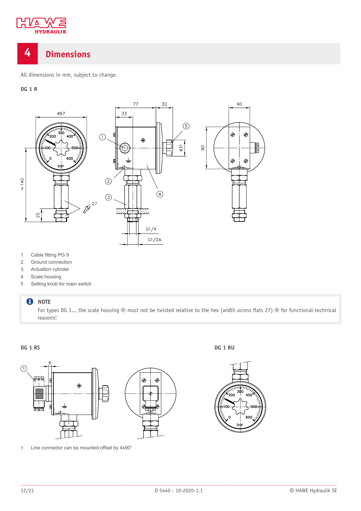

## <span id="page-11-0"></span>**4 Dimensions**

All dimensions in mm, subject to change.

#### **DG 1 R**



- 1 Cable fitting PG 9
- 2 Ground connection
- 3 Actuation cylinder
- 4 Scale housing
- 5 Setting knob for main switch

#### **O** NOTE

For types DG 1.., the scale housing  $\circledast$  must not be twisted relative to the hex (width across flats 27)  $\circledast$  for functional-technical reasons!



1 Line connector can be mounted offset by 4x90°

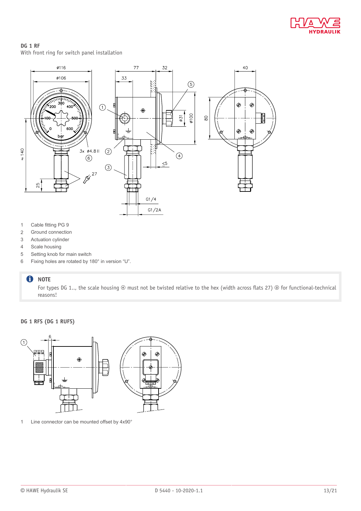

### **DG 1 RF**

With front ring for switch panel installation



- 1 Cable fitting PG 9
- 2 Ground connection
- 3 Actuation cylinder
- 4 Scale housing
- 5 Setting knob for main switch
- 6 Fixing holes are rotated by 180° in version "U".

#### **O** NOTE

For types DG 1.., the scale housing  $\circledast$  must not be twisted relative to the hex (width across flats 27)  $\circledast$  for functional-technical reasons!

#### **DG 1 RFS (DG 1 RUFS)**



1 Line connector can be mounted offset by 4x90°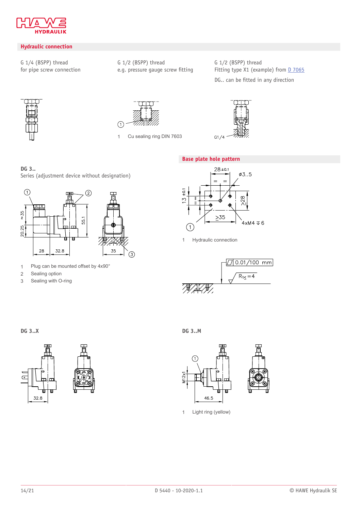

#### **Hydraulic connection**

G 1/4 (BSPP) thread for pipe screw connection G 1/2 (BSPP) thread e.g. pressure gauge screw fitting G 1/2 (BSPP) thread Fitting type X1 (example) from [D 7065](http://downloads.hawe.com/7/0/D7065-en.pdf)

DG.. can be fitted in any direction





1 Cu sealing ring DIN 7603



#### **Base plate hole pattern**

#### **DG 3..** Series (adjustment device without designation)



- 1 Plug can be mounted offset by 4x90°
- 2 Sealing option
- 3 Sealing with O-ring



1 Hydraulic connection





**DG 3..X DG 3..M**



1 Light ring (yellow)

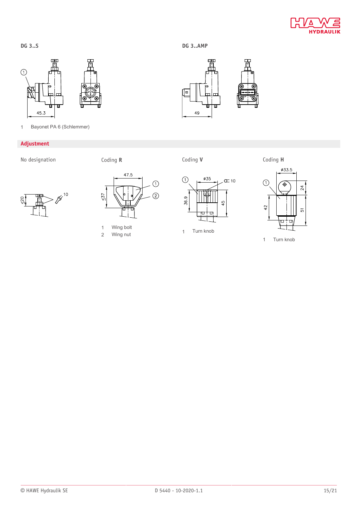╔

 $\overline{\text{top}}$ 

Ţ

Ф

49



1 Bayonet PA 6 (Schlemmer)

#### **Adjustment**

**DG 3..S**

No designation Coding **R** Coding **V** Coding **H**











1 wing bolt<br>2 Wing nut 1 Turn knob



1 Turn knob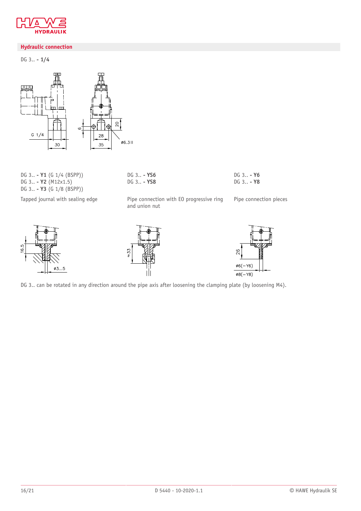

#### **Hydraulic connection**

DG 3.. **- 1/4**



DG 3.. **- Y1** (G 1/4 (BSPP)) DG 3.. **- Y2** (M12x1.5) DG 3.. **- Y3** (G 1/8 (BSPP))

Tapped journal with sealing edge Pipe connection with EO progressive ring

DG 3.. **- YS6** DG 3.. **- YS8**

and union nut

DG 3.. **- Y6** DG 3.. **- Y8**

Pipe connection pieces







DG 3.. can be rotated in any direction around the pipe axis after loosening the clamping plate (by loosening M4).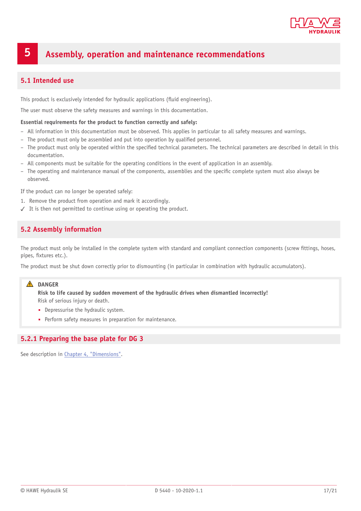

## <span id="page-16-0"></span>**5 Assembly, operation and maintenance recommendations**

#### <span id="page-16-1"></span>**5.1 Intended use**

This product is exclusively intended for hydraulic applications (Huid engineering).

The user must observe the safety measures and warnings in this documentation.

#### **Essential requirements for the product to function correctly and safely:**

- All information in this documentation must be observed. This applies in particular to all safety measures and warnings.
- The product must only be assembled and put into operation by qualified personnel.
- The product must only be operated within the specified technical parameters. The technical parameters are described in detail in this documentation.
- All components must be suitable for the operating conditions in the event of application in an assembly.
- The operating and maintenance manual of the components, assemblies and the specific complete system must also always be observed.

If the product can no longer be operated safely:

- 1. Remove the product from operation and mark it accordingly.
- <span id="page-16-2"></span>✓ It is then not permitted to continue using or operating the product.

#### **5.2 Assembly information**

The product must only be installed in the complete system with standard and compliant connection components (screw fittings, hoses, pipes, fixtures etc.).

The product must be shut down correctly prior to dismounting (in particular in combination with hydraulic accumulators).

#### **A** DANGER

**Risk to life caused by sudden movement of the hydraulic drives when dismantled incorrectly!** Risk of serious injury or death.

- Depressurise the hydraulic system.
- Perform safety measures in preparation for maintenance.

#### <span id="page-16-3"></span>**5.2.1 Preparing the base plate for DG 3**

See description in Chapter 4, ["Dimensions"](#page-11-0).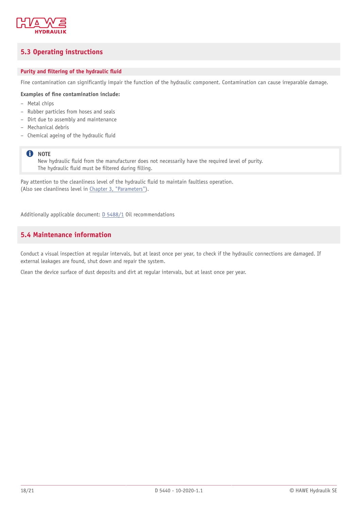

#### <span id="page-17-0"></span>**5.3 Operating instructions**

#### **Purity** and **filtering** of the hydraulic fluid

Fine contamination can significantly impair the function of the hydraulic component. Contamination can cause irreparable damage.

#### **Examples of 'ne contamination include:**

- Metal chips
- Rubber particles from hoses and seals
- Dirt due to assembly and maintenance
- Mechanical debris
- Chemical ageing of the hydraulic Huid

#### **f** NOTE

New hydraulic Huid from the manufacturer does not necessarily have the required level of purity. The hydraulic fluid must be filtered during filling.

Pay attention to the cleanliness level of the hydraulic fluid to maintain faultless operation. (Also see cleanliness level in Chapter 3, ["Parameters"](#page-7-0)).

<span id="page-17-1"></span>Additionally applicable document: [D 5488/1](http://downloads.hawe.com/5/4/D54881-en.pdf) Oil recommendations

#### **5.4 Maintenance information**

Conduct a visual inspection at regular intervals, but at least once per year, to check if the hydraulic connections are damaged. If external leakages are found, shut down and repair the system.

Clean the device surface of dust deposits and dirt at regular intervals, but at least once per year.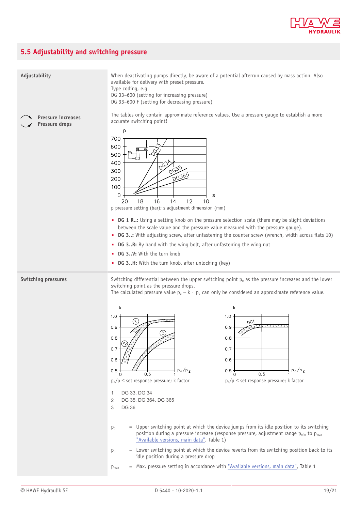

### <span id="page-18-0"></span>**5.5 Adjustability and switching pressure**

| Adjustability                               | When deactivating pumps directly, be aware of a potential afterrun caused by mass action. Also<br>available for delivery with preset pressure.<br>Type coding, e.g.<br>DG 33-600 (setting for increasing pressure)<br>DG 33-600 F (setting for decreasing pressure)                                                                                                                                                                                                                                                                                                                                                                                                                                                                                                                                                                                                                                                                                                                                                                                                                                                                                             |  |  |  |
|---------------------------------------------|-----------------------------------------------------------------------------------------------------------------------------------------------------------------------------------------------------------------------------------------------------------------------------------------------------------------------------------------------------------------------------------------------------------------------------------------------------------------------------------------------------------------------------------------------------------------------------------------------------------------------------------------------------------------------------------------------------------------------------------------------------------------------------------------------------------------------------------------------------------------------------------------------------------------------------------------------------------------------------------------------------------------------------------------------------------------------------------------------------------------------------------------------------------------|--|--|--|
| <b>Pressure increases</b><br>Pressure drops | The tables only contain approximate reference values. Use a pressure gauge to establish a more<br>accurate switching point!<br>p<br>700<br>600<br>$\hat{\phi}$<br>500<br>400<br>$0^{6}$<br>300<br>DG3651<br>200<br>100<br>0<br>S<br>12<br>18<br>14<br>16<br>20<br>10<br>p pressure setting (bar); s adjustment dimension (mm)<br>• DG 1 R.: Using a setting knob on the pressure selection scale (there may be slight deviations<br>between the scale value and the pressure value measured with the pressure gauge).<br>• DG 3: With adjusting screw, after unfastening the counter screw (wrench, width across flats 10)<br>• DG 3R: By hand with the wing bolt, after unfastening the wing nut<br>• DG 3V: With the turn knob<br>• DG 3H: With the turn knob, after unlocking (key)                                                                                                                                                                                                                                                                                                                                                                          |  |  |  |
| Switching pressures                         | Switching differential between the upper switching point $p_0$ as the pressure increases and the lower<br>switching point as the pressure drops.<br>The calculated pressure value $p_u = k \cdot p_o$ can only be considered an approximate reference value.<br>k<br>k<br>1.0<br>1.0<br>$(\wedge)$<br>$D_{C}$<br>0.9<br>0.9<br>3)<br>0.8<br>0.8<br>$\gamma$<br>0.7<br>0.7<br>0.6<br>0.6<br>$p_o/p_s$<br>$p_0/p_0$<br>0.5<br>0.5<br>0.5<br>0.5<br>$p_0/p \le$ set response pressure; k factor<br>$p_0/p \le$ set response pressure; k factor<br>DG 33, DG 34<br>$\mathbf{1}$<br>2<br>DG 35, DG 364, DG 365<br>3<br><b>DG 36</b><br>= Upper switching point at which the device jumps from its idle position to its switching<br>$p_{o}$<br>position during a pressure increase (response pressure, adjustment range p <sub>min</sub> to p <sub>max</sub><br>"Available versions, main data", Table 1)<br>= Lower switching point at which the device reverts from its switching position back to its<br>$p_u$<br>idle position during a pressure drop<br>= Max. pressure setting in accordance with "Available versions, main data", Table 1<br>$p_{\text{max}}$ |  |  |  |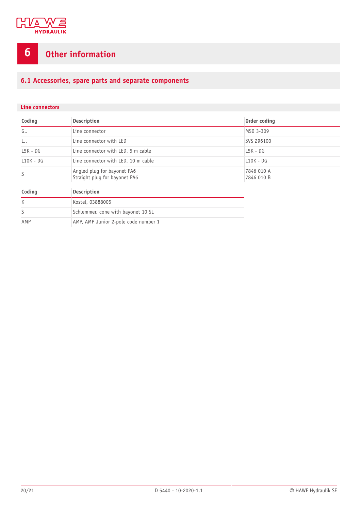

# <span id="page-19-0"></span>**6 Other information**

### <span id="page-19-1"></span>**6.1 Accessories, spare parts and separate components**

#### **Line connectors**

| Coding       | <b>Description</b>                                           | Order coding             |  |
|--------------|--------------------------------------------------------------|--------------------------|--|
| G            | Line connector                                               | MSD 3-309                |  |
| L.,          | Line connector with LED                                      | SVS 296100               |  |
| $LSK - DG$   | Line connector with LED, 5 m cable                           | $LSK - DG$               |  |
| $L10K - DG$  | Line connector with LED, 10 m cable                          | $L10K - DG$              |  |
| S            | Angled plug for bayonet PA6<br>Straight plug for bayonet PA6 | 7846 010 A<br>7846 010 B |  |
| Coding       | <b>Description</b>                                           |                          |  |
| $\mathsf{K}$ | Kostel, 03888005                                             |                          |  |
| S            | Schlemmer, cone with bayonet 10 SL                           |                          |  |
| AMP          | AMP, AMP Junior 2-pole code number 1                         |                          |  |